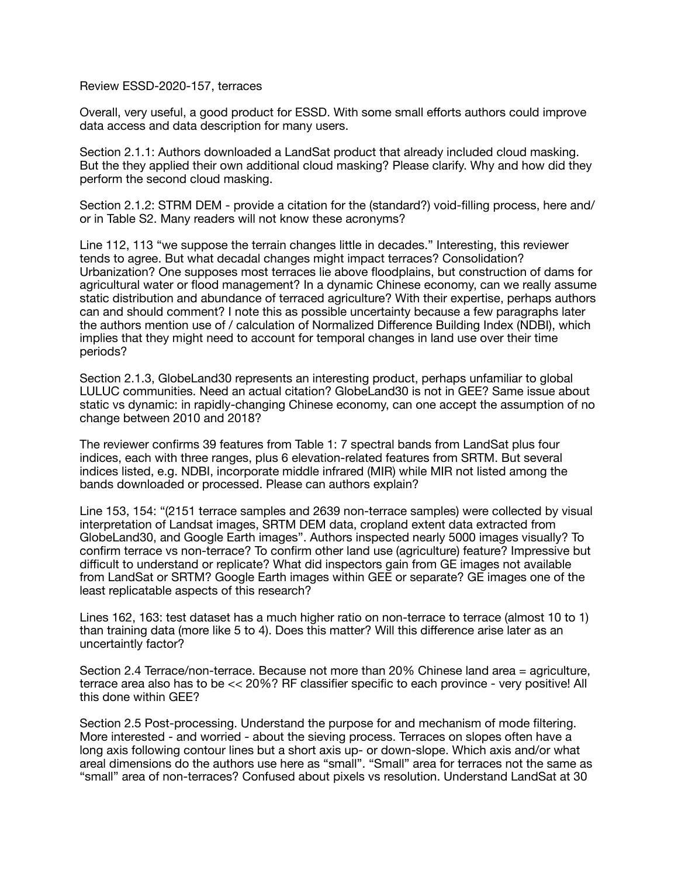Review ESSD-2020-157, terraces

Overall, very useful, a good product for ESSD. With some small efforts authors could improve data access and data description for many users.

Section 2.1.1: Authors downloaded a LandSat product that already included cloud masking. But the they applied their own additional cloud masking? Please clarify. Why and how did they perform the second cloud masking.

Section 2.1.2: STRM DEM - provide a citation for the (standard?) void-filling process, here and/ or in Table S2. Many readers will not know these acronyms?

Line 112, 113 "we suppose the terrain changes little in decades." Interesting, this reviewer tends to agree. But what decadal changes might impact terraces? Consolidation? Urbanization? One supposes most terraces lie above floodplains, but construction of dams for agricultural water or flood management? In a dynamic Chinese economy, can we really assume static distribution and abundance of terraced agriculture? With their expertise, perhaps authors can and should comment? I note this as possible uncertainty because a few paragraphs later the authors mention use of / calculation of Normalized Difference Building Index (NDBI), which implies that they might need to account for temporal changes in land use over their time periods?

Section 2.1.3, GlobeLand30 represents an interesting product, perhaps unfamiliar to global LULUC communities. Need an actual citation? GlobeLand30 is not in GEE? Same issue about static vs dynamic: in rapidly-changing Chinese economy, can one accept the assumption of no change between 2010 and 2018?

The reviewer confirms 39 features from Table 1: 7 spectral bands from LandSat plus four indices, each with three ranges, plus 6 elevation-related features from SRTM. But several indices listed, e.g. NDBI, incorporate middle infrared (MIR) while MIR not listed among the bands downloaded or processed. Please can authors explain?

Line 153, 154: "(2151 terrace samples and 2639 non-terrace samples) were collected by visual interpretation of Landsat images, SRTM DEM data, cropland extent data extracted from GlobeLand30, and Google Earth images". Authors inspected nearly 5000 images visually? To confirm terrace vs non-terrace? To confirm other land use (agriculture) feature? Impressive but difficult to understand or replicate? What did inspectors gain from GE images not available from LandSat or SRTM? Google Earth images within GEE or separate? GE images one of the least replicatable aspects of this research?

Lines 162, 163: test dataset has a much higher ratio on non-terrace to terrace (almost 10 to 1) than training data (more like 5 to 4). Does this matter? Will this difference arise later as an uncertaintly factor?

Section 2.4 Terrace/non-terrace. Because not more than 20% Chinese land area = agriculture, terrace area also has to be << 20%? RF classifier specific to each province - very positive! All this done within GEE?

Section 2.5 Post-processing. Understand the purpose for and mechanism of mode filtering. More interested - and worried - about the sieving process. Terraces on slopes often have a long axis following contour lines but a short axis up- or down-slope. Which axis and/or what areal dimensions do the authors use here as "small". "Small" area for terraces not the same as "small" area of non-terraces? Confused about pixels vs resolution. Understand LandSat at 30